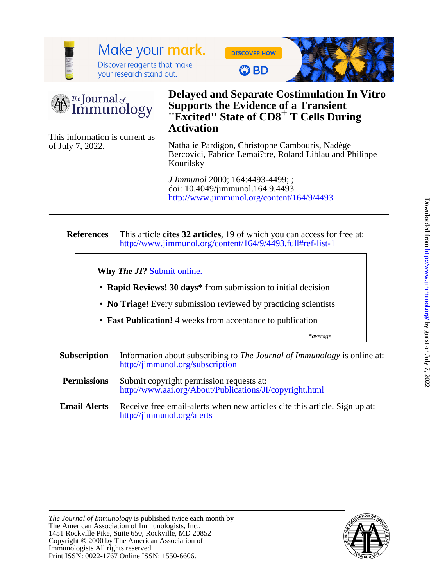

# Make your mark. Discover reagents that make

your research stand out.

**DISCOVER HOW** 

**C** BD





# **Activation** *''Excited''* **State of CD8<sup>+</sup> T Cells During Supports the Evidence of a Transient Delayed and Separate Costimulation In Vitro**

of July 7, 2022. This information is current as

Kourilsky Bercovici, Fabrice Lemai?tre, Roland Liblau and Philippe Nathalie Pardigon, Christophe Cambouris, Nadège

<http://www.jimmunol.org/content/164/9/4493> doi: 10.4049/jimmunol.164.9.4493 *J Immunol* 2000; 164:4493-4499; ;

#### **References** <http://www.jimmunol.org/content/164/9/4493.full#ref-list-1> This article **cites 32 articles**, 19 of which you can access for free at:

**Why** *The JI***?** [Submit online.](https://ji.msubmit.net)

- **Rapid Reviews! 30 days\*** from submission to initial decision
- **No Triage!** Every submission reviewed by practicing scientists
- **Fast Publication!** 4 weeks from acceptance to publication

\**average*

- **Subscription** <http://jimmunol.org/subscription> Information about subscribing to *The Journal of Immunology* is online at:
- **Permissions** <http://www.aai.org/About/Publications/JI/copyright.html> Submit copyright permission requests at:
- **Email Alerts** <http://jimmunol.org/alerts> Receive free email-alerts when new articles cite this article. Sign up at:

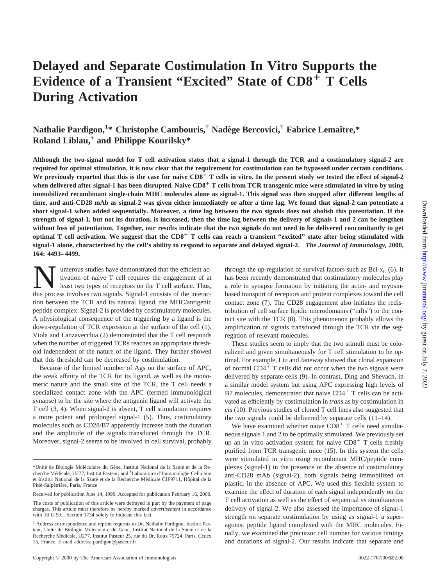# **Delayed and Separate Costimulation In Vitro Supports the Evidence of a Transient "Excited" State of CD8**<sup>1</sup> **T Cells During Activation**

# $\mathbf{N}$ athalie Pardigon, $^{1*}$  Christophe Cambouris, $^{\dagger}$  Nadège Bercovici, $^{\dagger}$  Fabrice Lemaître, $^*$ **Roland Liblau,† and Philippe Kourilsky\***

**Although the two-signal model for T cell activation states that a signal-1 through the TCR and a costimulatory signal-2 are required for optimal stimulation, it is now clear that the requirement for costimulation can be bypassed under certain conditions.** We previously reported that this is the case for naive CD8<sup>+</sup> T cells in vitro. In the present study we tested the effect of signal-2 **when delivered after signal-1 has been disrupted. Naive CD8**<sup>1</sup> **T cells from TCR transgenic mice were stimulated in vitro by using immobilized recombinant single-chain MHC molecules alone as signal-1. This signal was then stopped after different lengths of time, and anti-CD28 mAb as signal-2 was given either immediately or after a time lag. We found that signal-2 can potentiate a short signal-1 when added sequentially. Moreover, a time lag between the two signals does not abolish this potentiation. If the strength of signal-1, but not its duration, is increased, then the time lag between the delivery of signals 1 and 2 can be lengthen without loss of potentiation. Together, our results indicate that the two signals do not need to be delivered concomitantly to get optimal T cell activation. We suggest that the CD8**<sup>1</sup> **T cells can reach a transient "excited" state after being stimulated with signal-1 alone, characterized by the cell's ability to respond to separate and delayed signal-2.** *The Journal of Immunology,* **2000, 164: 4493–4499.**

Wumerous studies have demonstrated that the efficient activation of naive T cell requires the engagement of at least two types of receptors on the T cell surface. Thus, this process involves two signals. Signal-1 consists tivation of naive T cell requires the engagement of at this process involves two signals. Signal-1 consists of the interaction between the TCR and its natural ligand, the MHC/antigenic peptide complex. Signal-2 is provided by costimulatory molecules. A physiological consequence of the triggering by a ligand is the down-regulation of TCR expression at the surface of the cell (1). Viola and Lanzavecchia (2) demonstrated that the T cell responds when the number of triggered TCRs reaches an appropriate threshold independent of the nature of the ligand. They further showed that this threshold can be decreased by costimulation.

Because of the limited number of Ags on the surface of APC, the weak affinity of the TCR for its ligand, as well as the monomeric nature and the small size of the TCR, the T cell needs a specialized contact zone with the APC (termed immunological synapse) to be the site where the antigenic ligand will activate the T cell (3, 4). When signal-2 is absent, T cell stimulation requires a more potent and prolonged signal-1 (5). Thus, costimulatory molecules such as CD28/B7 apparently increase both the duration and the amplitude of the signals transduced through the TCR. Moreover, signal-2 seems to be involved in cell survival, probably through the up-regulation of survival factors such as  $Bcl-x_L$  (6). It has been recently demonstrated that costimulatory molecules play a role in synapse formation by initiating the actin- and myosinbased transport of receptors and protein complexes toward the cell contact zone (7). The CD28 engagement also initiates the redistribution of cell surface lipidic microdomains ("rafts") to the contact site with the TCR (8). This phenomenon probably allows the amplification of signals transduced through the TCR via the segregation of relevant molecules.

These studies seem to imply that the two stimuli must be colocalized and given simultaneously for T cell stimulation to be optimal. For example, Liu and Janeway showed that clonal expansion of normal  $CD4^+$  T cells did not occur when the two signals were delivered by separate cells (9). In contrast, Ding and Shevach, in a similar model system but using APC expressing high levels of B7 molecules, demonstrated that naive  $CD4<sup>+</sup>$  T cells can be activated as efficiently by costimulation in *trans* as by costimulation in *cis* (10). Previous studies of cloned T cell lines also suggested that the two signals could be delivered by separate cells (11–14).

We have examined whether naive  $CD8<sup>+</sup>$  T cells need simultaneous signals 1 and 2 to be optimally stimulated. We previously set up an in vitro activation system for naive  $CD8<sup>+</sup>$  T cells freshly purified from TCR transgenic mice (15). In this system the cells were stimulated in vitro using recombinant MHC/peptide complexes (signal-1) in the presence or the absence of costimulatory anti-CD28 mAb (signal-2), both signals being immobilized on plastic, in the absence of APC. We used this flexible system to examine the effect of duration of each signal independently on the T cell activation as well as the effect of sequential vs simultaneous delivery of signal-2. We also assessed the importance of signal-1 strength on separate costimulation by using as signal-1 a superagonist peptide ligand complexed with the MHC molecules. Finally, we examined the precursor cell number for various timings and durations of signal-2. Our results indicate that separate and

<sup>\*</sup>Unité de Biologie Moléculaire du Gène, Institut National de la Santé et de la Recherche Médicale, U277, Institut Pasteur; and <sup>†</sup>Laboratoire d'Immunologie Cellulaire et Institut National de la Santé et de la Recherche Médicale CJF9711, Hôpital de la Pitié-Salpêtrière, Paris, France

Received for publication June 14, 1999. Accepted for publication February 16, 2000.

The costs of publication of this article were defrayed in part by the payment of page charges. This article must therefore be hereby marked *advertisement* in accordance with 18 U.S.C. Section 1734 solely to indicate this fact.

<sup>&</sup>lt;sup>1</sup> Address correspondence and reprint requests to Dr. Nathalie Pardigon, Institut Pasteur, Unite de Biologie Moleculaire du Gene, Institut National de la Santé et de la Recherche Médicale, U277, Institut Pasteur 25, rue du Dr. Roux 75724, Paris, Cedex 15, France. E-mail address: pardigon@pasteur.fr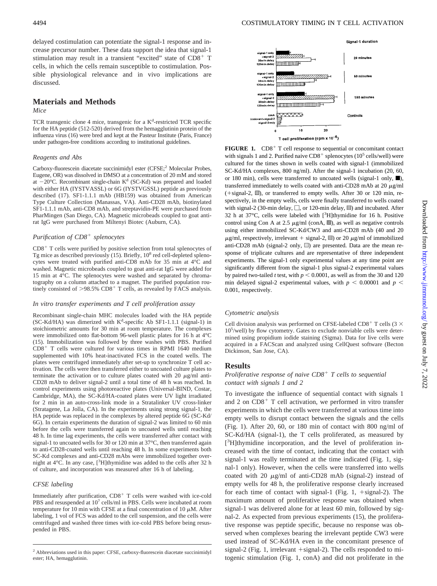delayed costimulation can potentiate the signal-1 response and increase precursor number. These data support the idea that signal-1 stimulation may result in a transient "excited" state of CD8<sup>+</sup> T cells, in which the cells remain susceptible to costimulation. Possible physiological relevance and in vivo implications are discussed.

# **Materials and Methods**

# *Mice*

TCR transgenic clone 4 mice, transgenic for a K<sup>d</sup>-restricted TCR specific for the HA peptide (512-520) derived from the hemagglutinin protein of the influenza virus (16) were bred and kept at the Pasteur Institute (Paris, France) under pathogen-free conditions according to institutional guidelines.

#### *Reagents and Abs*

Carboxy-fluorescein diacetate succinimidyl ester (CFSE;<sup>2</sup> Molecular Probes, Eugene, OR) was dissolved in DMSO at a concentration of 20 mM and stored at  $-20^{\circ}$ C. Recombinant single-chain K<sup>d</sup> (SC-Kd) was prepared and loaded with either HA (IYSTVASSL) or 6G (IYSTVGSSL) peptide as previously described (17). SF1-1.1.1 mAb (HB159) was obtained from American Type Culture Collection (Manassas, VA). Anti-CD28 mAb, biotinylated SF1-1.1.1 mAb, anti-CD8 mAb, and streptavidin-PE were purchased from PharMingen (San Diego, CA). Magnetic microbeads coupled to goat antirat IgG were purchased from Miltenyi Biotec (Auburn, CA).

# *Purification of CD8<sup>+</sup> splenocytes*

 $CD8<sup>+</sup>$  T cells were purified by positive selection from total splenocytes of Tg mice as described previously  $(15)$ . Briefly,  $10<sup>8</sup>$  red cell-depleted splenocytes were treated with purified anti-CD8 mAb for 35 min at 4°C and washed. Magnetic microbeads coupled to goat anti-rat IgG were added for 15 min at 4°C. The splenocytes were washed and separated by chromatography on a column attached to a magnet. The purified population routinely consisted of  $>98.5\%$  CD8<sup>+</sup> T cells, as revealed by FACS analysis.

#### *In vitro transfer experiments and T cell proliferation assay*

Recombinant single-chain MHC molecules loaded with the HA peptide  $SC-Kd/HA$ ) was dimerized with  $K<sup>d</sup>$ -specific Ab SF1-1.1.1 (signal-1) in stoichiometric amounts for 30 min at room temperature. The complexes were immobilized onto flat-bottom 96-well plastic plates for 16 h at 4°C (15). Immobilization was followed by three washes with PBS. Purified  $CD8<sup>+</sup>$  T cells were cultured for various times in RPMI 1640 medium supplemented with 10% heat-inactivated FCS in the coated wells. The plates were centrifuged immediately after set-up to synchronize T cell activation. The cells were then transferred either to uncoated culture plates to terminate the activation or to culture plates coated with 20  $\mu$ g/ml anti-CD28 mAb to deliver signal-2 until a total time of 48 h was reached. In control experiments using photoreactive plates (Universal-BIND, Costar, Cambridge, MA), the SC-Kd/HA-coated plates were UV light irradiated for 2 min in an auto-cross-link mode in a Stratalinker UV cross-linker (Stratagene, La Jolla, CA). In the experiments using strong signal-1, the HA peptide was replaced in the complexes by altered peptide 6G (SC-Kd/ 6G). In certain experiments the duration of signal-2 was limited to 60 min before the cells were transferred again to uncoated wells until reaching 48 h. In time lag experiments, the cells were transferred after contact with signal-1 to uncoated wells for 30 or 120 min at 37°C, then transferred again to anti-CD28-coated wells until reaching 48 h. In some experiments both SC-Kd complexes and anti-CD28 mAbs were immobilized together overnight at  $4^{\circ}$ C. In any case, [ $^{3}$ H]thymidine was added to the cells after 32 h of culture, and incorporation was measured after 16 h of labeling.

#### *CFSE labeling*

Immediately after purification,  $CD8<sup>+</sup>$  T cells were washed with ice-cold PBS and resuspended at 10<sup>7</sup> cells/ml in PBS. Cells were incubated at room temperature for 10 min with CFSE at a final concentration of 10  $\mu$ M. After labeling, 1 vol of FCS was added to the cell suspension, and the cells were centrifuged and washed three times with ice-cold PBS before being resuspended in PBS.



**FIGURE 1.** CD8<sup>+</sup> T cell response to sequential or concomitant contact with signals 1 and 2. Purified naive  $CDS<sup>+</sup>$  splenocytes (10<sup>5</sup> cells/well) were cultured for the times shown in wells coated with signal-1 (immobilized SC-Kd/HA complexes, 800 ng/ml). After the signal-1 incubation (20, 60, or 180 min), cells were transferred to uncoated wells (signal-1 only,  $\blacksquare$ ), transferred immediately to wells coated with anti-CD28 mAb at 20  $\mu$ g/ml (+signal-2,  $\mathbb{Z}$ ), or transferred to empty wells. After 30 or 120 min, respectively, in the empty wells, cells were finally transferred to wells coated with signal-2 (30-min delay,  $\square$ , or 120-min delay,  $\blacksquare$ ) and incubated. After 32 h at 37°C, cells were labeled with [3 H]thymidine for 16 h. Positive control using Con A at 2.5  $\mu$ g/ml (conA, .), as well as negative controls using either immobilized SC-Kd/CW3 and anti-CD28 mAb (40 and 20  $\mu$ g/ml, respectively, irrelevant + signal-2,  $\equiv$ ) or 20  $\mu$ g/ml of immobilized anti-CD28 mAb (signal-2 only,  $\Box$ ) are presented. Data are the mean response of triplicate cultures and are representative of three independent experiments. The signal-1 only experimental values at any time point are significantly different from the signal-1 plus signal-2 experimental values by paired two-tailed *t* test, with  $p < 0.0001$ , as well as from the 30 and 120 min delayed signal-2 experimental values, with  $p < 0.00001$  and  $p <$ 0.001, respectively.

#### *Cytometric analysis*

Cell division analysis was performed on CFSE-labeled CD8<sup>+</sup> T cells (3  $\times$ 10<sup>5</sup> /well) by flow cytometry. Gates to exclude nonviable cells were determined using propidium iodide staining (Sigma). Data for live cells were acquired in a FACScan and analyzed using CellQuest software (Becton Dickinson, San Jose, CA).

## **Results**

*Proliferative response of naive CD8<sup>+</sup> <i>T cells to sequential contact with signals 1 and 2*

To investigate the influence of sequential contact with signals 1 and 2 on  $CD8<sup>+</sup>$  T cell activation, we performed in vitro transfer experiments in which the cells were transferred at various time into empty wells to disrupt contact between the signals and the cells (Fig. 1). After 20, 60, or 180 min of contact with 800 ng/ml of SC-Kd/HA (signal-1), the T cells proliferated, as measured by [<sup>3</sup>H]thymidine incorporation, and the level of proliferation increased with the time of contact, indicating that the contact with signal-1 was really terminated at the time indicated (Fig. 1, signal-1 only). However, when the cells were transferred into wells coated with 20  $\mu$ g/ml of anti-CD28 mAb (signal-2) instead of empty wells for 48 h, the proliferative response clearly increased for each time of contact with signal-1 (Fig. 1,  $+$ signal-2). The maximum amount of proliferative response was obtained when signal-1 was delivered alone for at least 60 min, followed by signal-2. As expected from previous experiments (15), the proliferative response was peptide specific, because no response was observed when complexes bearing the irrelevant peptide CW3 were used instead of SC-Kd/HA even in the concomitant presence of signal-2 (Fig. 1, irrelevant  $+$  signal-2). The cells responded to mitogenic stimulation (Fig. 1, conA) and did not proliferate in the

<sup>2</sup> Abbreviations used in this paper: CFSE, carboxy-fluorescein diacetate succinimidyl ester; HA, hemagglutinin.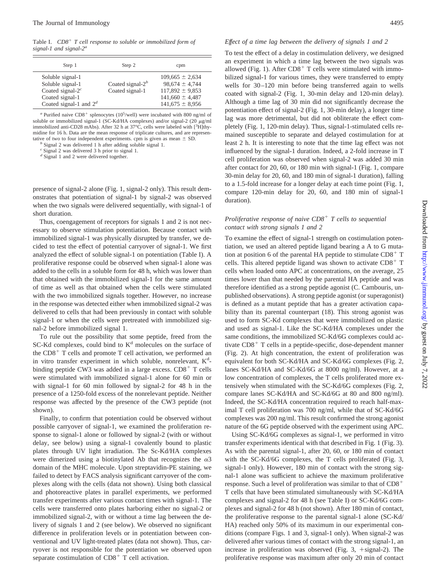Table I.  $CD8<sup>+</sup>$  *T* cell response to soluble or immobilized form of *signal-1 and signal-2a*

| Step 1                                                                                                      | Step 2                                 | cpm                                                                                                            |
|-------------------------------------------------------------------------------------------------------------|----------------------------------------|----------------------------------------------------------------------------------------------------------------|
| Soluble signal-1<br>Soluble signal-1<br>Coated signal- $2c$<br>Coated signal-1<br>Coated signal-1 and $2^d$ | Coated signal- $2b$<br>Coated signal-1 | $109,665 \pm 2,634$<br>$98,674 \pm 4.744$<br>$117,892 \pm 9,853$<br>$141,660 \pm 4,487$<br>$141,675 \pm 8,956$ |

 $a$  Purified naive CD8<sup>+</sup> splenocytes (10<sup>5</sup>/well) were incubated with 800 ng/ml of soluble or immobilized signal-1 (SC-Kd/HA complexes) and/or signal-2 (20  $\mu$ g/ml immobilized anti-CD28 mAbs). After 32 h at 37°C, cells were labeled with [<sup>3</sup>H]thymidine for 16 h. Data are the mean response of triplicate cultures, and are representative of two to four independent experiments. cpm is given as mean  $\pm$  SD. *b* Signal 2 was delivered 1 h after adding soluble signal 1.

*<sup>c</sup>* Signal 2 was delivered 3 h prior to signal 1.

*<sup>d</sup>* Signal 1 and 2 were delivered together.

presence of signal-2 alone (Fig. 1, signal-2 only). This result demonstrates that potentiation of signal-1 by signal-2 was observed when the two signals were delivered sequentially, with signal-1 of short duration.

Thus, coengagement of receptors for signals 1 and 2 is not necessary to observe stimulation potentiation. Because contact with immobilized signal-1 was physically disrupted by transfer, we decided to test the effect of potential carryover of signal-1. We first analyzed the effect of soluble signal-1 on potentiation (Table I). A proliferative response could be observed when signal-1 alone was added to the cells in a soluble form for 48 h, which was lower than that obtained with the immobilized signal-1 for the same amount of time as well as that obtained when the cells were stimulated with the two immobilized signals together. However, no increase in the response was detected either when immobilized signal-2 was delivered to cells that had been previously in contact with soluble signal-1 or when the cells were pretreated with immobilized signal-2 before immobilized signal 1.

To rule out the possibility that some peptide, freed from the  $SC-Kd$  complexes, could bind to  $K<sup>d</sup>$  molecules on the surface of the  $CD8<sup>+</sup>$  T cells and promote T cell activation, we performed an in vitro transfer experiment in which soluble, nonrelevant, K<sup>d</sup>binding peptide CW3 was added in a large excess.  $CD8<sup>+</sup>$  T cells were stimulated with immobilized signal-1 alone for 60 min or with signal-1 for 60 min followed by signal-2 for 48 h in the presence of a 1250-fold excess of the nonrelevant peptide. Neither response was affected by the presence of the CW3 peptide (not shown).

Finally, to confirm that potentiation could be observed without possible carryover of signal-1, we examined the proliferation response to signal-1 alone or followed by signal-2 (with or without delay, see below) using a signal-1 covalently bound to plastic plates through UV light irradiation. The Sc-Kd/HA complexes were dimerized using a biotinylated Ab that recognizes the  $\alpha$ 3 domain of the MHC molecule. Upon streptavidin-PE staining, we failed to detect by FACS analysis significant carryover of the complexes along with the cells (data not shown). Using both classical and photoreactive plates in parallel experiments, we performed transfer experiments after various contact times with signal-1. The cells were transferred onto plates harboring either no signal-2 or immobilized signal-2, with or without a time lag between the delivery of signals 1 and 2 (see below). We observed no significant difference in proliferation levels or in potentiation between conventional and UV light-treated plates (data not shown). Thus, carryover is not responsible for the potentiation we observed upon separate costimulation of  $CD8<sup>+</sup>$  T cell activation.

### *Effect of a time lag between the delivery of signals 1 and 2*

To test the effect of a delay in costimulation delivery, we designed an experiment in which a time lag between the two signals was allowed (Fig. 1). After  $CD8<sup>+</sup>$  T cells were stimulated with immobilized signal-1 for various times, they were transferred to empty wells for 30–120 min before being transferred again to wells coated with signal-2 (Fig. 1, 30-min delay and 120-min delay). Although a time lag of 30 min did not significantly decrease the potentiation effect of signal-2 (Fig. 1, 30-min delay), a longer time lag was more detrimental, but did not obliterate the effect completely (Fig. 1, 120-min delay). Thus, signal-1-stimulated cells remained susceptible to separate and delayed costimulation for at least 2 h. It is interesting to note that the time lag effect was not influenced by the signal-1 duration. Indeed, a 2-fold increase in T cell proliferation was observed when signal-2 was added 30 min after contact for 20, 60, or 180 min with signal-1 (Fig. 1, compare 30-min delay for 20, 60, and 180 min of signal-1 duration), falling to a 1.5-fold increase for a longer delay at each time point (Fig. 1, compare 120-min delay for 20, 60, and 180 min of signal-1 duration).

# *Proliferative response of naive CD8*<sup>1</sup> *T cells to sequential contact with strong signals 1 and 2*

To examine the effect of signal-1 strength on costimulation potentiation, we used an altered peptide ligand bearing a A to G mutation at position 6 of the parental HA peptide to stimulate  $CD8<sup>+</sup>$  T cells. This altered peptide ligand was shown to activate  $CD8<sup>+</sup>$  T cells when loaded onto APC at concentrations, on the average, 25 times lower than that needed by the parental HA peptide and was therefore identified as a strong peptide agonist (C. Cambouris, unpublished observations). A strong peptide agonist (or superagonist) is defined as a mutant peptide that has a greater activation capability than its parental counterpart (18). This strong agonist was used to form SC-Kd complexes that were immobilized on plastic and used as signal-1. Like the SC-Kd/HA complexes under the same conditions, the immobilized SC-Kd/6G complexes could activate CD8<sup>+</sup> T cells in a peptide-specific, dose-dependent manner (Fig. 2). At high concentration, the extent of proliferation was equivalent for both SC-Kd/HA and SC-Kd/6G complexes (Fig. 2, lanes SC-Kd/HA and SC-Kd/6G at 8000 ng/ml). However, at a low concentration of complexes, the T cells proliferated more extensively when stimulated with the SC-Kd/6G complexes (Fig. 2, compare lanes SC-Kd/HA and SC-Kd/6G at 80 and 800 ng/ml). Indeed, the SC-Kd/HA concentration required to reach half-maximal T cell proliferation was 700 ng/ml, while that of SC-Kd/6G complexes was 200 ng/ml. This result confirmed the strong agonist nature of the 6G peptide observed with the experiment using APC.

Using SC-Kd/6G complexes as signal-1, we performed in vitro transfer experiments identical with that described in Fig. 1 (Fig. 3). As with the parental signal-1, after 20, 60, or 180 min of contact with the SC-Kd/6G complexes, the T cells proliferated (Fig. 3, signal-1 only). However, 180 min of contact with the strong signal-1 alone was sufficient to achieve the maximum proliferative response. Such a level of proliferation was similar to that of CD8<sup>+</sup> T cells that have been stimulated simultaneously with SC-Kd/HA complexes and signal-2 for 48 h (see Table I) or SC-Kd/6G complexes and signal-2 for 48 h (not shown). After 180 min of contact, the proliferative response to the parental signal-1 alone (SC-Kd/ HA) reached only 50% of its maximum in our experimental conditions (compare Figs. 1 and 3, signal-1 only). When signal-2 was delivered after various times of contact with the strong signal-1, an increase in proliferation was observed (Fig.  $3$ ,  $+$ signal-2). The proliferative response was maximum after only 20 min of contact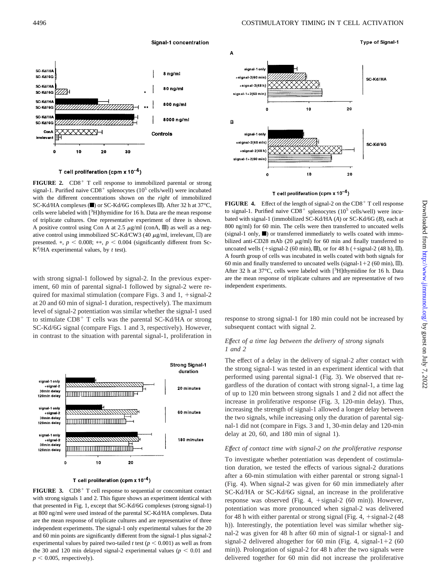

T cell proliferation (cpm  $x 10^{-4}$ )

**FIGURE 2.** CD8<sup>+</sup> T cell response to immobilized parental or strong signal-1. Purified naive  $CD8^+$  splenocytes (10<sup>5</sup> cells/well) were incubated with the different concentrations shown on the *right* of immobilized SC-Kd/HA complexes ( $\blacksquare$ ) or SC-Kd/6G complexes  $\blacksquare$ ). After 32 h at 37°C, cells were labeled with [<sup>3</sup>H]thymidine for 16 h. Data are the mean response of triplicate cultures. One representative experiment of three is shown. A positive control using Con A at 2.5  $\mu$ g/ml (conA,  $\mathfrak{M}$ ) as well as a negative control using immobilized SC-Kd/CW3 (40  $\mu$ g/ml, irrelevant,  $\Box$ ) are presented. \*,  $p < 0.008$ ; \*\*,  $p < 0.004$  (significantly different from Sc- $K<sup>d</sup>/HA$  experimental values, by *t* test).

with strong signal-1 followed by signal-2. In the previous experiment, 60 min of parental signal-1 followed by signal-2 were required for maximal stimulation (compare Figs. 3 and  $1, +$ signal-2 at 20 and 60 min of signal-1 duration, respectively). The maximum level of signal-2 potentiation was similar whether the signal-1 used to stimulate  $CD8<sup>+</sup>$  T cells was the parental SC-Kd/HA or strong SC-Kd/6G signal (compare Figs. 1 and 3, respectively). However, in contrast to the situation with parental signal-1, proliferation in



#### T cell proliferation (cpm x  $10^{-4}$ )

**FIGURE 3.** CD8<sup>+</sup> T cell response to sequential or concomitant contact with strong signals 1 and 2. This figure shows an experiment identical with that presented in Fig. 1, except that SC-Kd/6G complexes (strong signal-1) at 800 ng/ml were used instead of the parental SC-Kd/HA complexes. Data are the mean response of triplicate cultures and are representative of three independent experiments. The signal-1 only experimental values for the 20 and 60 min points are significantly different from the signal-1 plus signal-2 experimental values by paired two-tailed *t* test ( $p < 0.001$ ) as well as from the 30 and 120 min delayed signal-2 experimental values ( $p < 0.01$  and  $p < 0.005$ , respectively).



#### T cell proliferation (cpm x  $10^{-4}$ )

**FIGURE 4.** Effect of the length of signal-2 on the  $CD8<sup>+</sup>$  T cell response to signal-1. Purified naive  $CD8^+$  splenocytes (10<sup>5</sup> cells/well) were incubated with signal-1 (immobilized SC-Kd/HA (*A*) or SC-Kd/6G (*B*), each at 800 ng/ml) for 60 min. The cells were then transferred to uncoated wells (signal-1 only,  $\blacksquare$ ) or transferred immediately to wells coated with immobilized anti-CD28 mAb (20  $\mu$ g/ml) for 60 min and finally transferred to uncoated wells (1signal-2 (60 min), s), or for 48 h (1signal-2 (48 h), o). A fourth group of cells was incubated in wells coated with both signals for 60 min and finally transferred to uncoated wells (signal-1+2 (60 min),  $\mathbb{I}$ ). After 32 h at  $37^{\circ}$ C, cells were labeled with  $[^{3}H]$ thymidine for 16 h. Data are the mean response of triplicate cultures and are representative of two independent experiments.

response to strong signal-1 for 180 min could not be increased by subsequent contact with signal 2.

# *Effect of a time lag between the delivery of strong signals 1 and 2*

The effect of a delay in the delivery of signal-2 after contact with the strong signal-1 was tested in an experiment identical with that performed using parental signal-1 (Fig. 3). We observed that regardless of the duration of contact with strong signal-1, a time lag of up to 120 min between strong signals 1 and 2 did not affect the increase in proliferative response (Fig. 3, 120-min delay). Thus, increasing the strength of signal-1 allowed a longer delay between the two signals, while increasing only the duration of parental signal-1 did not (compare in Figs. 3 and 1, 30-min delay and 120-min delay at 20, 60, and 180 min of signal 1).

#### *Effect of contact time with signal-2 on the proliferative response*

To investigate whether potentiation was dependent of costimulation duration, we tested the effects of various signal-2 durations after a 60-min stimulation with either parental or strong signal-1 (Fig. 4). When signal-2 was given for 60 min immediately after SC-Kd/HA or SC-Kd/6G signal, an increase in the proliferative response was observed (Fig. 4,  $+$ signal-2 (60 min)). However, potentiation was more pronounced when signal-2 was delivered for 48 h with either parental or strong signal (Fig. 4,  $+$ signal-2 (48) h)). Interestingly, the potentiation level was similar whether signal-2 was given for 48 h after 60 min of signal-1 or signal-1 and signal-2 delivered altogether for 60 min (Fig. 4, signal-1+2  $(60$ min)). Prolongation of signal-2 for 48 h after the two signals were delivered together for 60 min did not increase the proliferative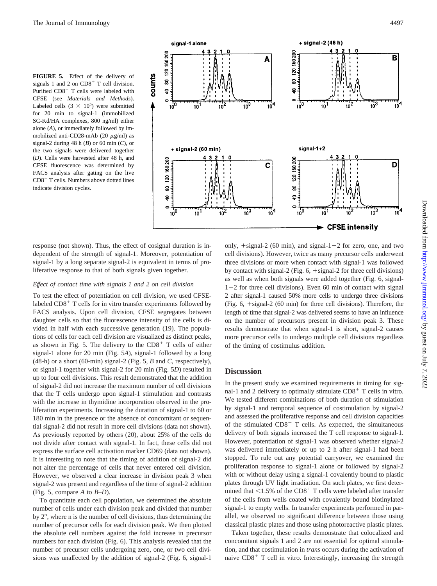**FIGURE 5.** Effect of the delivery of signals 1 and 2 on  $CD8<sup>+</sup>$  T cell division. Purified CD8<sup>+</sup> T cells were labeled with CFSE (see *Materials and Methods*). Labeled cells  $(3 \times 10^5)$  were submitted for 20 min to signal-1 (immobilized SC-Kd/HA complexes, 800 ng/ml) either alone (*A*), or immediately followed by immobilized anti-CD28-mAb (20  $\mu$ g/ml) as signal-2 during 48 h (*B*) or 60 min (*C*), or the two signals were delivered together (*D*). Cells were harvested after 48 h, and CFSE fluorescence was determined by FACS analysis after gating on the live  $CD8<sup>+</sup>$  T cells. Numbers above dotted lines indicate division cycles.



response (not shown). Thus, the effect of cosignal duration is independent of the strength of signal-1. Moreover, potentiation of signal-1 by a long separate signal-2 is equivalent in terms of proliferative response to that of both signals given together.

#### *Effect of contact time with signals 1 and 2 on cell division*

To test the effect of potentiation on cell division, we used CFSElabeled  $CD8<sup>+</sup>$  T cells for in vitro transfer experiments followed by FACS analysis. Upon cell division, CFSE segregates between daughter cells so that the fluorescence intensity of the cells is divided in half with each successive generation (19). The populations of cells for each cell division are visualized as distinct peaks, as shown in Fig. 5. The delivery to the  $CD8<sup>+</sup>$  T cells of either signal-1 alone for 20 min (Fig. 5*A*), signal-1 followed by a long (48-h) or a short (60-min) signal-2 (Fig. 5, *B* and *C*, respectively), or signal-1 together with signal-2 for 20 min (Fig. 5*D*) resulted in up to four cell divisions. This result demonstrated that the addition of signal-2 did not increase the maximum number of cell divisions that the T cells undergo upon signal-1 stimulation and contrasts with the increase in thymidine incorporation observed in the proliferation experiments. Increasing the duration of signal-1 to 60 or 180 min in the presence or the absence of concomitant or sequential signal-2 did not result in more cell divisions (data not shown). As previously reported by others (20), about 25% of the cells do not divide after contact with signal-1. In fact, these cells did not express the surface cell activation marker CD69 (data not shown). It is interesting to note that the timing of addition of signal-2 did not alter the percentage of cells that never entered cell division. However, we observed a clear increase in division peak 3 when signal-2 was present and regardless of the time of signal-2 addition (Fig. 5, compare *A* to *B–D*).

To quantitate each cell population, we determined the absolute number of cells under each division peak and divided that number by  $2^n$ , where n is the number of cell divisions, thus determining the number of precursor cells for each division peak. We then plotted the absolute cell numbers against the fold increase in precursor numbers for each division (Fig. 6). This analysis revealed that the number of precursor cells undergoing zero, one, or two cell divisions was unaffected by the addition of signal-2 (Fig. 6, signal-1 only,  $+$ signal-2 (60 min), and signal-1+2 for zero, one, and two cell divisions). However, twice as many precursor cells underwent three divisions or more when contact with signal-1 was followed by contact with signal-2 (Fig.  $6$ ,  $+$ signal-2 for three cell divisions) as well as when both signals were added together (Fig. 6, signal- $1+2$  for three cell divisions). Even 60 min of contact with signal 2 after signal-1 caused 50% more cells to undergo three divisions (Fig.  $6, +{\text{signal}}-2$  (60 min) for three cell divisions). Therefore, the length of time that signal-2 was delivered seems to have an influence on the number of precursors present in division peak 3. These results demonstrate that when signal-1 is short, signal-2 causes more precursor cells to undergo multiple cell divisions regardless of the timing of costimulus addition.

# **Discussion**

In the present study we examined requirements in timing for signal-1 and 2 delivery to optimally stimulate  $CD8<sup>+</sup>$  T cells in vitro. We tested different combinations of both duration of stimulation by signal-1 and temporal sequence of costimulation by signal-2 and assessed the proliferative response and cell division capacities of the stimulated  $CD8<sup>+</sup>$  T cells. As expected, the simultaneous delivery of both signals increased the T cell response to signal-1. However, potentiation of signal-1 was observed whether signal-2 was delivered immediately or up to 2 h after signal-1 had been stopped. To rule out any potential carryover, we examined the proliferation response to signal-1 alone or followed by signal-2 with or without delay using a signal-1 covalently bound to plastic plates through UV light irradiation. On such plates, we first determined that  $\leq$ 1.5% of the CD8<sup>+</sup> T cells were labeled after transfer of the cells from wells coated with covalently bound biotinylated signal-1 to empty wells. In transfer experiments performed in parallel, we observed no significant difference between those using classical plastic plates and those using photoreactive plastic plates.

Taken together, these results demonstrate that colocalized and concomitant signals 1 and 2 are not essential for optimal stimulation, and that costimulation in *trans* occurs during the activation of naive  $CD8<sup>+</sup>$  T cell in vitro. Interestingly, increasing the strength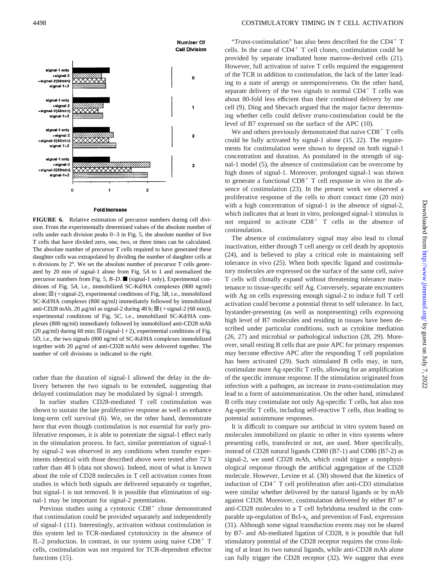

#### **Fold Increase**

**FIGURE 6.** Relative estimation of precursor numbers during cell division. From the experimentally determined values of the absolute number of cells under each division peaks 0–3 in Fig. 5, the absolute number of live T cells that have divided zero, one, two, or three times can be calculated. The absolute number of precursor T cells required to have generated these daughter cells was extrapolated by dividing the number of daughter cells at n divisions by  $2<sup>n</sup>$ . We set the absolute number of precursor T cells generated by 20 min of signal-1 alone from Fig. 5*A* to 1 and normalized the precursor numbers from Fig. 5,  $B-D$ . (signal-1 only), Experimental conditions of Fig. 5*A*, i.e., immobilized SC-Kd/HA complexes (800 ng/ml) alone;  $\mathbb{Z}$  (+signal-2), experimental conditions of Fig. 5*B*, i.e., immobilized SC-Kd/HA complexes (800 ng/ml) immediately followed by immobilized anti-CD28 mAb, 20  $\mu$ g/ml as signal-2 during 48 h;  $\mathfrak{M}$  (+signal-2 (60 min)), experimental conditions of Fig. 5*C*, i.e., immobilized SC-Kd/HA complexes (800 ng/ml) immediately followed by immobilized anti-CD28 mAb (20  $\mu$ g/ml) during 60 min;  $\mathbb{I}$  (signal-1+2), experimental conditions of Fig. 5*D*, i.e., the two signals (800 ng/ml of SC-Kd/HA complexes immobilized together with 20  $\mu$ g/ml of anti-CD28 mAb) were delivered together. The number of cell divisions is indicated to the *right*.

rather than the duration of signal-1 allowed the delay in the delivery between the two signals to be extended, suggesting that delayed costimulation may be modulated by signal-1 strength.

In earlier studies CD28-mediated T cell costimulation was shown to sustain the late proliferative response as well as enhance long-term cell survival (6). We, on the other hand, demonstrate here that even though costimulation is not essential for early proliferative responses, it is able to potentiate the signal-1 effect early in the stimulation process. In fact, similar potentiation of signal-1 by signal-2 was observed in any conditions when transfer experiments identical with those described above were tested after 72 h rather than 48 h (data not shown). Indeed, most of what is known about the role of CD28 molecules in T cell activation comes from studies in which both signals are delivered separately or together, but signal-1 is not removed. It is possible that elimination of signal-1 may be important for signal-2 potentiation.

Previous studies using a cytotoxic  $CD8<sup>+</sup>$  clone demonstrated that costimulation could be provided separately and independently of signal-1 (11). Interestingly, activation without costimulation in this system led to TCR-mediated cytotoxicity in the absence of IL-2 production. In contrast, in our system using naive  $CD8<sup>+</sup>$  T cells, costimulation was not required for TCR-dependent effector functions  $(15)$ .

" $Trans\text{-}costimulation$ " has also been described for the CD4<sup>+</sup> T cells. In the case of  $CD4^+$  T cell clones, costimulation could be provided by separate irradiated bone marrow-derived cells (21). However, full activation of naive T cells required the engagement of the TCR in addition to costimulation, the lack of the latter leading to a state of anergy or unresponsiveness. On the other hand, separate delivery of the two signals to normal  $CD4<sup>+</sup>$  T cells was about 80-fold less efficient than their combined delivery by one cell (9). Ding and Shevach argued that the major factor determining whether cells could deliver *trans*-costimulation could be the level of B7 expressed on the surface of the APC (10).

We and others previously demonstrated that naive  $CD8<sup>+</sup>$  T cells could be fully activated by signal-1 alone (15, 22). The requirements for costimulation were shown to depend on both signal-1 concentration and duration. As postulated in the strength of signal-1 model (5), the absence of costimulation can be overcome by high doses of signal-1. Moreover, prolonged signal-1 was shown to generate a functional  $CD8<sup>+</sup>$  T cell response in vivo in the absence of costimulation (23). In the present work we observed a proliferative response of the cells to short contact time (20 min) with a high concentration of signal-1 in the absence of signal-2, which indicates that at least in vitro, prolonged signal-1 stimulus is not required to activate  $CD8<sup>+</sup>$  T cells in the absence of costimulation.

The absence of costimulatory signal may also lead to clonal inactivation, either through T cell anergy or cell death by apoptosis (24), and is believed to play a critical role in maintaining self tolerance in vivo (25). When both specific ligand and costimulatory molecules are expressed on the surface of the same cell, naive T cells will clonally expand without threatening tolerance maintenance to tissue-specific self Ag. Conversely, separate encounters with Ag on cells expressing enough signal-2 to induce full T cell activation could become a potential threat to self tolerance. In fact, bystander-presenting (as well as nonpresenting) cells expressing high level of B7 molecules and residing in tissues have been described under particular conditions, such as cytokine mediation (26, 27) and microbial or pathological induction (28, 29). Moreover, small resting B cells that are poor APC for primary responses may become effective APC after the responding T cell population has been activated (29). Such stimulated B cells may, in turn, costimulate more Ag-specific T cells, allowing for an amplification of the specific immune response. If the stimulation originated from infection with a pathogen, an increase in *trans*-costimulation may lead to a form of autoimmunization. On the other hand, stimulated B cells may costimulate not only Ag-specific T cells, but also non Ag-specific T cells, including self-reactive T cells, thus leading to potential autoimmune responses.

It is difficult to compare our artificial in vitro system based on molecules immobilized on plastic to other in vitro systems where presenting cells, transfected or not, are used. More specifically, instead of CD28 natural ligands CD80 (B7-1) and CD86 (B7-2) as signal-2, we used CD28 mAb, which could trigger a nonphysiological response through the artificial aggregation of the CD28 molecule. However, Levine et al. (30) showed that the kinetics of induction of  $CD4^+$  T cell proliferation after anti-CD3 stimulation were similar whether delivered by the natural ligands or by mAb against CD28. Moreover, costimulation delivered by either B7 or anti-CD28 molecules to a T cell hybridoma resulted in the comparable up-regulation of  $Bcl-x<sub>L</sub>$  and prevention of FasL expression (31). Although some signal transduction events may not be shared by B7- and Ab-mediated ligation of CD28, it is possible that full stimulatory potential of the CD28 receptor requires the cross-linking of at least its two natural ligands, while anti-CD28 mAb alone can fully trigger the CD28 receptor (32). We suggest that even